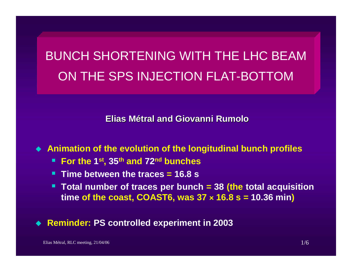# BUNCH SHORTENING WITH THE LHC BEAMON THE SPS INJECTION FLAT-BOTTOM

**Elias Métral and Giovanni and Giovanni Rumolo**

**Animation of the evolution of the longitudinal bunch profiles**

- **For the 1st, 35th and 72nd bunches**
- **Time between the traces = 16.8 s**
- **Total number of traces per bunch = 38 (the total acquisition time of the coast, COAST6, was 37 <sup>â</sup> 16.8 s = 10.36 min)**

**Reminder: PS controlled experiment in 2003**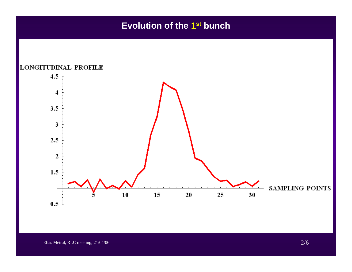### **Evolution of the 1st bunch**

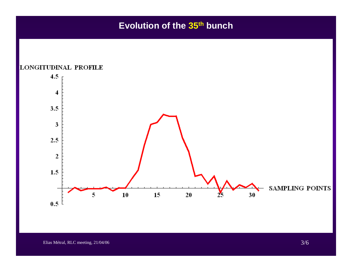### **Evolution of the 35th bunch**

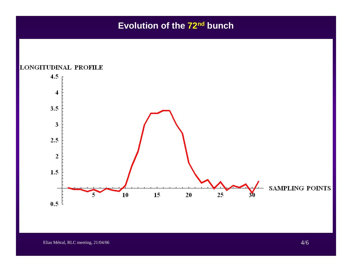## **Evolution of the 72nd bunch**



Elias Métral, RLC meeting, 21/04/06 4/6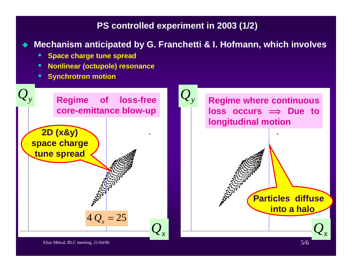#### **PS controlled experiment in 2003 (1/2)**

 $\blacklozenge$ **Mechanism anticipated by G. Franchetti & I. Hofmann, which involves**

- **Space charge tune spread**
- **Nonlinear (octupole) resonance**
- **Synchrotron motion**